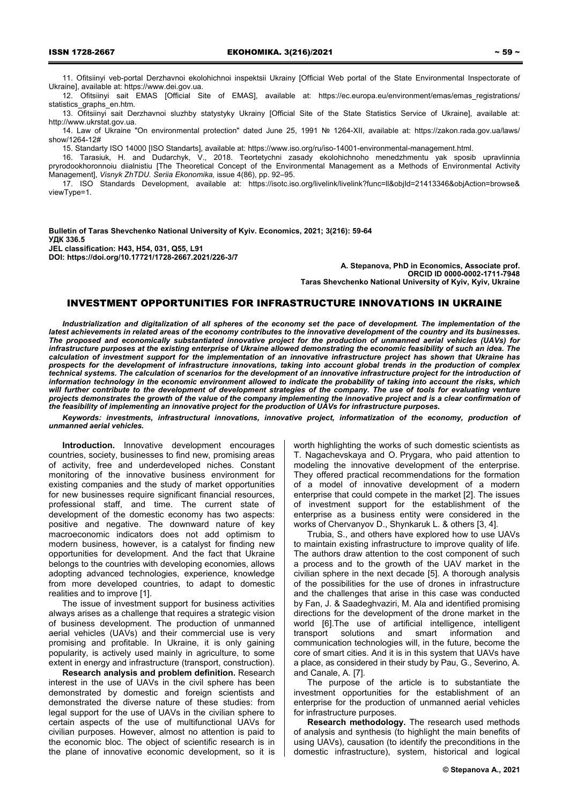11. Ofitsiinyi veb-portal Derzhavnoi ekolohichnoi inspektsii Ukrainy [Official Web portal of the State Environmental Inspectorate of Ukraine], available at: https://www.dei.gov.ua.

12. Ofitsiinyi sait EMAS [Official Site of EMAS], available at: https://ec.europa.eu/environment/emas/emas\_registrations/ statistics\_graphs\_en.htm.

13. Ofitsiinyi sait Derzhavnoi sluzhby statystyky Ukrainy [Official Site of the State Statistics Service of Ukraine], available at: http://www.ukrstat.gov.ua.

14. Law of Ukraine "On environmental protection" dated June 25, 1991 № 1264-XII, available at: https://zakon.rada.gov.ua/laws/ show/1264-12#

15. Standarty ISO 14000 [ISO Standarts], available at: https://www.iso.org/ru/iso-14001-environmental-management.html.

16. Tarasiuk, H. and Dudarchyk, V., 2018. Teortetychni zasady ekolohichnoho menedzhmentu yak sposib upravlinnia pryrodookhoronnoiu diialnistiu [The Theoretical Concept of the Environmental Management as a Methods of Environmental Activity Management], *Visnyk ZhTDU. Seriia Ekonomika,* issue 4(86), pp. 92–95.

17. ISO Standards Development, available at: https://isotc.iso.org/livelink/livelink?func=ll&objId=21413346&objAction=browse& viewType=1.

**Bulletin of Taras Shevchenko National University of Kyiv. Economics, 2021; 3(216): 59-64 УДК 336.5 JEL classification: H43, H54, 031, Q55, L91 DOI: https://doi.org/10.17721/1728-2667.2021/226-3/7** 

**A. Stepanova, PhD in Economics, Associate рrof. ORCID ID 0000-0002-1711-7948 Taras Shevchenko National University of Kyiv, Kyiv, Ukraine** 

# INVESTMENT OPPORTUNITIES FOR INFRASTRUCTURE INNOVATIONS IN UKRAINE

*Industrialization and digitalization of all spheres of the economy set the pace of development. The implementation of the latest achievements in related areas of the economy contributes to the innovative development of the country and its businesses. The proposed and economically substantiated innovative project for the production of unmanned aerial vehicles (UAVs) for infrastructure purposes at the existing enterprise of Ukraine allowed demonstrating the economic feasibility of such an idea. The calculation of investment support for the implementation of an innovative infrastructure project has shown that Ukraine has prospects for the development of infrastructure innovations, taking into account global trends in the production of complex technical systems. The calculation of scenarios for the development of an innovative infrastructure project for the introduction of information technology in the economic environment allowed to indicate the probability of taking into account the risks, which will further contribute to the development of development strategies of the company. The use of tools for evaluating venture projects demonstrates the growth of the value of the company implementing the innovative project and is a clear confirmation of the feasibility of implementing an innovative project for the production of UAVs for infrastructure purposes.* 

*Keywords: investments, infrastructural innovations, innovative project, informatization of the economy, production of unmanned aerial vehicles.* 

**Introduction.** Innovative development encourages countries, society, businesses to find new, promising areas of activity, free and underdeveloped niches. Constant monitoring of the innovative business environment for existing companies and the study of market opportunities for new businesses require significant financial resources, professional staff, and time. The current state of development of the domestic economy has two aspects: positive and negative. The downward nature of key macroeconomic indicators does not add optimism to modern business, however, is a catalyst for finding new opportunities for development. And the fact that Ukraine belongs to the countries with developing economies, allows adopting advanced technologies, experience, knowledge from more developed countries, to adapt to domestic realities and to improve [1].

The issue of investment support for business activities always arises as a challenge that requires a strategic vision of business development. The production of unmanned aerial vehicles (UAVs) and their commercial use is very promising and profitable. In Ukraine, it is only gaining popularity, is actively used mainly in agriculture, to some extent in energy and infrastructure (transport, construction).

**Research analysis and problem definition.** Research interest in the use of UAVs in the civil sphere has been demonstrated by domestic and foreign scientists and demonstrated the diverse nature of these studies: from legal support for the use of UAVs in the civilian sphere to certain aspects of the use of multifunctional UAVs for civilian purposes. However, almost no attention is paid to the economic bloc. The object of scientific research is in the plane of innovative economic development, so it is

worth highlighting the works of such domestic scientists as T. Nagachevskaya and O. Prygara, who paid attention to modeling the innovative development of the enterprise. They offered practical recommendations for the formation of a model of innovative development of a modern enterprise that could compete in the market [2]. The issues of investment support for the establishment of the enterprise as a business entity were considered in the works of Chervanyov D., Shynkaruk L. & others [3, 4].

Trubia, S., and others have explored how to use UAVs to maintain existing infrastructure to improve quality of life. The authors draw attention to the cost component of such a process and to the growth of the UAV market in the civilian sphere in the next decade [5]. A thorough analysis of the possibilities for the use of drones in infrastructure and the challenges that arise in this case was conducted by Fan, J. & Saadeghvaziri, M. Ala and identified promising directions for the development of the drone market in the world [6].The use of artificial intelligence, intelligent transport solutions and smart information and communication technologies will, in the future, become the core of smart cities. And it is in this system that UAVs have a place, as considered in their study by Pau, G., Severino, A. and Canale, A. [7].

The purpose of the article is to substantiate the investment opportunities for the establishment of an enterprise for the production of unmanned aerial vehicles for infrastructure purposes.

**Research methodology.** The research used methods of analysis and synthesis (to highlight the main benefits of using UAVs), causation (to identify the preconditions in the domestic infrastructure), system, historical and logical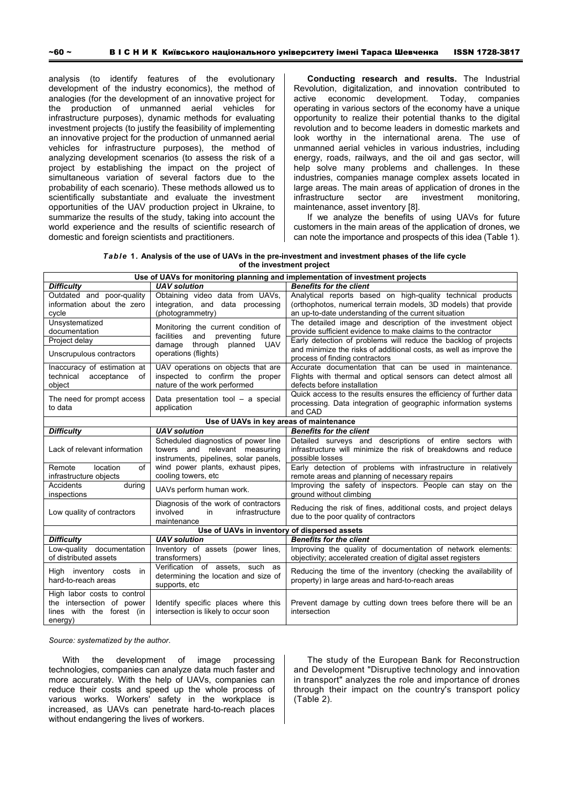analysis (to identify features of the evolutionary development of the industry economics), the method of analogies (for the development of an innovative project for the production of unmanned aerial vehicles for infrastructure purposes), dynamic methods for evaluating investment projects (to justify the feasibility of implementing an innovative project for the production of unmanned aerial vehicles for infrastructure purposes), the method of analyzing development scenarios (to assess the risk of a project by establishing the impact on the project of simultaneous variation of several factors due to the probability of each scenario). These methods allowed us to scientifically substantiate and evaluate the investment opportunities of the UAV production project in Ukraine, to summarize the results of the study, taking into account the world experience and the results of scientific research of domestic and foreign scientists and practitioners.

**Conducting research and results.** The Industrial Revolution, digitalization, and innovation contributed to active economic development. Today, companies operating in various sectors of the economy have a unique opportunity to realize their potential thanks to the digital revolution and to become leaders in domestic markets and look worthy in the international arena. The use of unmanned aerial vehicles in various industries, including energy, roads, railways, and the oil and gas sector, will help solve many problems and challenges. In these industries, companies manage complex assets located in large areas. The main areas of application of drones in the infrastructure sector are investment monitoring, maintenance, asset inventory [8].

If we analyze the benefits of using UAVs for future customers in the main areas of the application of drones, we can note the importance and prospects of this idea (Table 1).

*Table* **1***.* **Analysis of the use of UAVs in the pre-investment and investment phases of the life cycle of the investment project** 

|                                                                                                                                                                                                                                                                                                                                                 | Use of UAVs for monitoring planning and implementation of investment projects                                 |                                                                                                                                                                                                |  |  |  |  |  |  |  |
|-------------------------------------------------------------------------------------------------------------------------------------------------------------------------------------------------------------------------------------------------------------------------------------------------------------------------------------------------|---------------------------------------------------------------------------------------------------------------|------------------------------------------------------------------------------------------------------------------------------------------------------------------------------------------------|--|--|--|--|--|--|--|
| <b>Difficulty</b>                                                                                                                                                                                                                                                                                                                               | <b>UAV</b> solution                                                                                           | <b>Benefits for the client</b>                                                                                                                                                                 |  |  |  |  |  |  |  |
| Outdated and poor-quality<br>information about the zero<br>cycle                                                                                                                                                                                                                                                                                | Obtaining video data from UAVs,<br>integration, and data processing<br>(photogrammetry)                       | Analytical reports based on high-quality technical products<br>(orthophotos, numerical terrain models, 3D models) that provide<br>an up-to-date understanding of the current situation         |  |  |  |  |  |  |  |
| Unsystematized<br>documentation<br>Project delay                                                                                                                                                                                                                                                                                                | Monitoring the current condition of<br>facilities<br>and<br>preventing<br>future                              | The detailed image and description of the investment object<br>provide sufficient evidence to make claims to the contractor<br>Early detection of problems will reduce the backlog of projects |  |  |  |  |  |  |  |
| Unscrupulous contractors                                                                                                                                                                                                                                                                                                                        | planned UAV<br>damage<br>through<br>operations (flights)                                                      | and minimize the risks of additional costs, as well as improve the<br>process of finding contractors                                                                                           |  |  |  |  |  |  |  |
| Inaccuracy of estimation at<br>technical<br>acceptance<br>of<br>object                                                                                                                                                                                                                                                                          | UAV operations on objects that are<br>inspected to confirm the proper<br>nature of the work performed         | Accurate documentation that can be used in maintenance.<br>Flights with thermal and optical sensors can detect almost all<br>defects before installation                                       |  |  |  |  |  |  |  |
| The need for prompt access<br>to data                                                                                                                                                                                                                                                                                                           | Data presentation tool - a special<br>application                                                             | Quick access to the results ensures the efficiency of further data<br>processing. Data integration of geographic information systems<br>and CAD                                                |  |  |  |  |  |  |  |
|                                                                                                                                                                                                                                                                                                                                                 |                                                                                                               |                                                                                                                                                                                                |  |  |  |  |  |  |  |
| <b>Difficulty</b>                                                                                                                                                                                                                                                                                                                               | <b>UAV</b> solution                                                                                           | <b>Benefits for the client</b>                                                                                                                                                                 |  |  |  |  |  |  |  |
| Lack of relevant information                                                                                                                                                                                                                                                                                                                    | Scheduled diagnostics of power line<br>towers and relevant measuring<br>instruments, pipelines, solar panels, | Detailed surveys and descriptions of entire sectors with<br>infrastructure will minimize the risk of breakdowns and reduce<br>possible losses                                                  |  |  |  |  |  |  |  |
| infrastructure objects                                                                                                                                                                                                                                                                                                                          | cooling towers, etc                                                                                           | remote areas and planning of necessary repairs                                                                                                                                                 |  |  |  |  |  |  |  |
| <b>Accidents</b><br>during<br>inspections                                                                                                                                                                                                                                                                                                       | UAVs perform human work.                                                                                      | Improving the safety of inspectors. People can stay on the<br>ground without climbing                                                                                                          |  |  |  |  |  |  |  |
| Low quality of contractors                                                                                                                                                                                                                                                                                                                      | involved<br>infrastructure<br>in<br>maintenance                                                               | Reducing the risk of fines, additional costs, and project delays<br>due to the poor quality of contractors                                                                                     |  |  |  |  |  |  |  |
| Use of UAVs in key areas of maintenance<br>wind power plants, exhaust pipes,<br>Early detection of problems with infrastructure in relatively<br>Remote<br>location<br>of<br>Diagnosis of the work of contractors<br>Use of UAVs in inventory of dispersed assets<br><b>UAV</b> solution<br><b>Benefits for the client</b><br><b>Difficulty</b> |                                                                                                               |                                                                                                                                                                                                |  |  |  |  |  |  |  |
|                                                                                                                                                                                                                                                                                                                                                 |                                                                                                               |                                                                                                                                                                                                |  |  |  |  |  |  |  |
| Low-quality documentation<br>of distributed assets                                                                                                                                                                                                                                                                                              | Inventory of assets (power lines,<br>transformers)                                                            | Improving the quality of documentation of network elements:<br>objectivity; accelerated creation of digital asset registers                                                                    |  |  |  |  |  |  |  |
| High inventory costs<br>in<br>hard-to-reach areas                                                                                                                                                                                                                                                                                               | Verification of assets, such as<br>determining the location and size of<br>supports, etc                      | Reducing the time of the inventory (checking the availability of<br>property) in large areas and hard-to-reach areas                                                                           |  |  |  |  |  |  |  |
| High labor costs to control<br>the intersection of power<br>lines with the forest (in<br>energy)                                                                                                                                                                                                                                                | Identify specific places where this<br>intersection is likely to occur soon                                   | Prevent damage by cutting down trees before there will be an<br>intersection                                                                                                                   |  |  |  |  |  |  |  |

*Source: systematized by the author*.

With the development of image processing technologies, companies can analyze data much faster and more accurately. With the help of UAVs, companies can reduce their costs and speed up the whole process of various works. Workers' safety in the workplace is increased, as UAVs can penetrate hard-to-reach places without endangering the lives of workers.

The study of the European Bank for Reconstruction and Development "Disruptive technology and innovation in transport" analyzes the role and importance of drones through their impact on the country's transport policy (Table 2).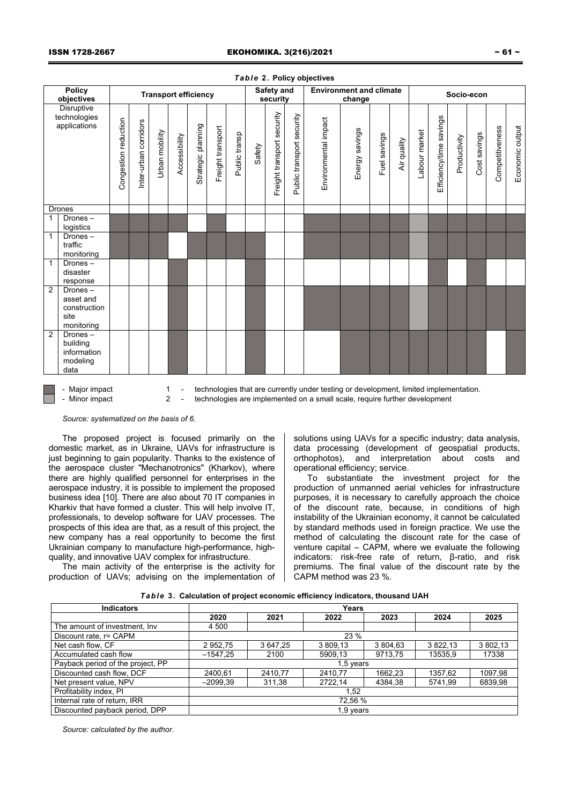|                |                                                            |                      |                       |                |                             |                    |                   |               |        |                               |                           | $1.4212 + 1.010$               |                |              |             |               |                         |              |              |                 |                 |
|----------------|------------------------------------------------------------|----------------------|-----------------------|----------------|-----------------------------|--------------------|-------------------|---------------|--------|-------------------------------|---------------------------|--------------------------------|----------------|--------------|-------------|---------------|-------------------------|--------------|--------------|-----------------|-----------------|
|                | <b>Policy</b><br>objectives                                |                      |                       |                | <b>Transport efficiency</b> |                    |                   |               |        | <b>Safety and</b><br>security |                           | <b>Environment and climate</b> | change         |              |             |               | Socio-econ              |              |              |                 |                 |
|                | <b>Disruptive</b><br>technologies<br>applications          | Congestion reduction | Inter-urban corridors | Urban mobility | Accessibility               | Strategic planning | Freight transport | Public transp | Safety | Freight transport security    | Public transport security | Environmental impact           | Energy savings | Fuel savings | Air quality | Labour market | Efficiency/time savings | Productivity | Cost savings | Competitiveness | Economic output |
|                | Drones                                                     |                      |                       |                |                             |                    |                   |               |        |                               |                           |                                |                |              |             |               |                         |              |              |                 |                 |
| $\mathbf{1}$   | Drones-<br>logistics                                       |                      |                       |                |                             |                    |                   |               |        |                               |                           |                                |                |              |             |               |                         |              |              |                 |                 |
| $\mathbf{1}$   | Drones-<br>traffic<br>monitoring                           |                      |                       |                |                             |                    |                   |               |        |                               |                           |                                |                |              |             |               |                         |              |              |                 |                 |
| $\overline{1}$ | Drones-<br>disaster<br>response                            |                      |                       |                |                             |                    |                   |               |        |                               |                           |                                |                |              |             |               |                         |              |              |                 |                 |
| $\overline{2}$ | Drones-<br>asset and<br>construction<br>site<br>monitoring |                      |                       |                |                             |                    |                   |               |        |                               |                           |                                |                |              |             |               |                         |              |              |                 |                 |
| $\overline{2}$ | Drones-<br>building<br>information<br>modeling<br>data     |                      |                       |                |                             |                    |                   |               |        |                               |                           |                                |                |              |             |               |                         |              |              |                 |                 |

## *Table* **2***.* **Policy objectives**

- Major impact 1 - technologies that are currently under testing or development, limited implementation. - Minor impact 2 - technologies are implemented on a small scale, require further development

*Source: systematized on the basis of 6.* 

The proposed project is focused primarily on the domestic market, as in Ukraine, UAVs for infrastructure is just beginning to gain popularity. Thanks to the existence of the aerospace cluster "Mechanotronics" (Kharkov), where there are highly qualified personnel for enterprises in the aerospace industry, it is possible to implement the proposed business idea [10]. There are also about 70 IT companies in Kharkiv that have formed a cluster. This will help involve IT, professionals, to develop software for UAV processes. The prospects of this idea are that, as a result of this project, the new company has a real opportunity to become the first Ukrainian company to manufacture high-performance, highquality, and innovative UAV complex for infrastructure.

The main activity of the enterprise is the activity for production of UAVs; advising on the implementation of solutions using UAVs for a specific industry; data analysis, data processing (development of geospatial products, orthophotos), and interpretation about costs and operational efficiency; service.

To substantiate the investment project for the production of unmanned aerial vehicles for infrastructure purposes, it is necessary to carefully approach the choice of the discount rate, because, in conditions of high instability of the Ukrainian economy, it cannot be calculated by standard methods used in foreign practice. We use the method of calculating the discount rate for the case of venture capital – CAPM, where we evaluate the following indicators: risk-free rate of return, β-ratio, and risk premiums. The final value of the discount rate by the CAPM method was 23 %.

|  |  | Table 3. Calculation of project economic efficiency indicators, thousand UAH |  |  |  |  |  |  |
|--|--|------------------------------------------------------------------------------|--|--|--|--|--|--|
|--|--|------------------------------------------------------------------------------|--|--|--|--|--|--|

| <b>Indicators</b>                 | Years      |          |           |          |          |          |  |  |  |  |  |
|-----------------------------------|------------|----------|-----------|----------|----------|----------|--|--|--|--|--|
|                                   | 2020       | 2021     | 2022      | 2023     | 2024     | 2025     |  |  |  |  |  |
| The amount of investment, Inv     | 4 500      |          |           |          |          |          |  |  |  |  |  |
| Discount rate, r= CAPM            | 23 %       |          |           |          |          |          |  |  |  |  |  |
| Net cash flow. CF                 | 2 952.75   | 3 647.25 | 3 809.13  | 3 804.63 | 3 822.13 | 3 802.13 |  |  |  |  |  |
| Accumulated cash flow             | $-1547.25$ | 2100     | 5909,13   | 9713,75  | 13535,9  | 17338    |  |  |  |  |  |
| Payback period of the project, PP |            |          | 1,5 years |          |          |          |  |  |  |  |  |
| Discounted cash flow, DCF         | 2400,61    | 2410.77  | 2410,77   | 1662.23  | 1357,62  | 1097,98  |  |  |  |  |  |
| Net present value, NPV            | $-2099,39$ | 311,38   | 2722,14   | 4384,38  | 5741,99  | 6839,98  |  |  |  |  |  |
| Profitability index, PI           | 1,52       |          |           |          |          |          |  |  |  |  |  |
| Internal rate of return, IRR      | 72.56 %    |          |           |          |          |          |  |  |  |  |  |
| Discounted payback period, DPP    |            |          | 1,9 years |          |          |          |  |  |  |  |  |

*Source: calculated by the author*.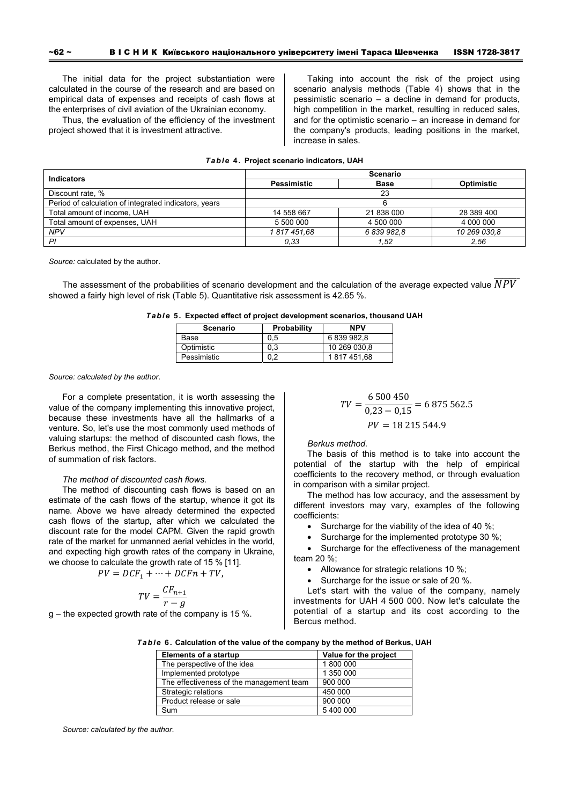The initial data for the project substantiation were calculated in the course of the research and are based on empirical data of expenses and receipts of cash flows at the enterprises of civil aviation of the Ukrainian economy.

Thus, the evaluation of the efficiency of the investment project showed that it is investment attractive.

Taking into account the risk of the project using scenario analysis methods (Table 4) shows that in the pessimistic scenario – a decline in demand for products, high competition in the market, resulting in reduced sales, and for the optimistic scenario – an increase in demand for the company's products, leading positions in the market, increase in sales.

| <b>Indicators</b>                                     | <b>Scenario</b>    |             |                   |  |  |  |  |  |
|-------------------------------------------------------|--------------------|-------------|-------------------|--|--|--|--|--|
|                                                       | <b>Pessimistic</b> | <b>Base</b> | <b>Optimistic</b> |  |  |  |  |  |
| Discount rate, %                                      |                    | 23          |                   |  |  |  |  |  |
| Period of calculation of integrated indicators, years |                    |             |                   |  |  |  |  |  |
| Total amount of income, UAH                           | 14 558 667         | 21 838 000  | 28 389 400        |  |  |  |  |  |
| Total amount of expenses, UAH                         | 5 500 000          | 4 500 000   | 4 000 000         |  |  |  |  |  |
| <b>NPV</b>                                            | 1817451,68         | 6 839 982.8 | 10 269 030.8      |  |  |  |  |  |
| PI                                                    | 0,33               | 1.52        | 2,56              |  |  |  |  |  |

# *Table* **4. Project scenario indicators, UAH**

*Source:* calculated by the author.

The assessment of the probabilities of scenario development and the calculation of the average expected value  $\overline{NPV}$ showed a fairly high level of risk (Table 5). Quantitative risk assessment is 42.65 %.

|  |  |  | Table 5. Expected effect of project development scenarios, thousand UAH |
|--|--|--|-------------------------------------------------------------------------|
|--|--|--|-------------------------------------------------------------------------|

| <b>Scenario</b> | <b>Probability</b> | <b>NPV</b>   |  |
|-----------------|--------------------|--------------|--|
| Base            | 0.5                | 6839982.8    |  |
| Optimistic      | 0.3                | 10 269 030.8 |  |
| Pessimistic     | ∩າ                 | 1817451.68   |  |

*Source: calculated by the author*.

For a complete presentation, it is worth assessing the value of the company implementing this innovative project, because these investments have all the hallmarks of a venture. So, let's use the most commonly used methods of valuing startups: the method of discounted cash flows, the Berkus method, the First Chicago method, and the method of summation of risk factors.

# *The method of discounted cash flows.*

The method of discounting cash flows is based on an estimate of the cash flows of the startup, whence it got its name. Above we have already determined the expected cash flows of the startup, after which we calculated the discount rate for the model САРМ. Given the rapid growth rate of the market for unmanned aerial vehicles in the world, and expecting high growth rates of the company in Ukraine, we choose to calculate the growth rate of 15 % [11].

$$
PV = DCF_1 + \dots + DCFn + TV,
$$

$$
TV = \frac{CF_{n+1}}{r - g}
$$

g – the expected growth rate of the company is 15 %.

$$
TV = \frac{6\,500\,450}{0.23 - 0.15} = 6\,875\,562.5
$$
  
PV = 18\,215\,544.9

*Berkus method.* 

The basis of this method is to take into account the potential of the startup with the help of empirical coefficients to the recovery method, or through evaluation in comparison with a similar project.

The method has low accuracy, and the assessment by different investors may vary, examples of the following coefficients:

- Surcharge for the viability of the idea of 40 %;
- Surcharge for the implemented prototype 30 %;

• Surcharge for the effectiveness of the management team 20 %;

- Allowance for strategic relations 10 %;
- Surcharge for the issue or sale of 20 %.

Let's start with the value of the company, namely investments for UAH 4 500 000. Now let's calculate the potential of a startup and its cost according to the Bercus method.

|  | Table 6. Calculation of the value of the company by the method of Berkus, UAH |  |  |  |  |  |  |  |
|--|-------------------------------------------------------------------------------|--|--|--|--|--|--|--|
|--|-------------------------------------------------------------------------------|--|--|--|--|--|--|--|

| Elements of a startup                    | Value for the project |
|------------------------------------------|-----------------------|
| The perspective of the idea              | 1800 000              |
| Implemented prototype                    | 1 350 000             |
| The effectiveness of the management team | 900 000               |
| Strategic relations                      | 450 000               |
| Product release or sale                  | 900 000               |
| Sum                                      | 5400000               |

*Source: calculated by the author*.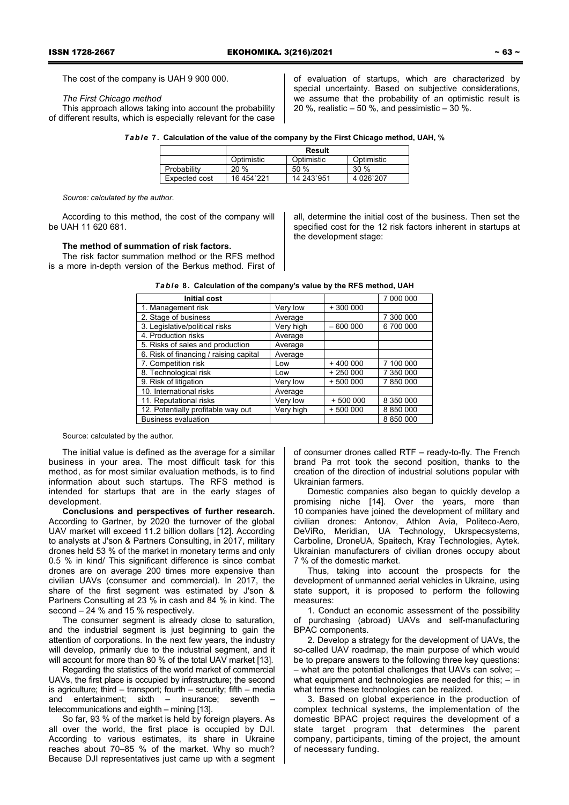The cost of the company is UAH 9 900 000.

# *The First Chicago method*

This approach allows taking into account the probability of different results, which is especially relevant for the case of evaluation of startups, which are characterized by special uncertainty. Based on subjective considerations, we assume that the probability of an optimistic result is 20 %, realistic – 50 %, and pessimistic – 30 %.

| Table 7. Calculation of the value of the company by the First Chicago method, UAH, % |  |  |  |  |  |  |  |  |  |  |  |
|--------------------------------------------------------------------------------------|--|--|--|--|--|--|--|--|--|--|--|
|--------------------------------------------------------------------------------------|--|--|--|--|--|--|--|--|--|--|--|

|               | Result     |            |            |  |  |  |  |  |
|---------------|------------|------------|------------|--|--|--|--|--|
|               | Optimistic | Optimistic | Optimistic |  |  |  |  |  |
| Probability   | 20%        | 50%        | $30\%$     |  |  |  |  |  |
| Expected cost | 16 454 221 | 14 243 951 | 4 026 207  |  |  |  |  |  |

*Source: calculated by the author*.

According to this method, the cost of the company will be UAH 11 620 681.

## **The method of summation of risk factors.**

The risk factor summation method or the RFS method is a more in-depth version of the Berkus method. First of all, determine the initial cost of the business. Then set the specified cost for the 12 risk factors inherent in startups at the development stage:

| <b>Initial cost</b>                    |           |           | 7 000 000 |
|----------------------------------------|-----------|-----------|-----------|
| 1. Management risk                     | Very low  | $+300000$ |           |
| 2. Stage of business                   | Average   |           | 7 300 000 |
| 3. Legislative/political risks         | Very high | $-600000$ | 6700000   |
| 4. Production risks                    | Average   |           |           |
| 5. Risks of sales and production       | Average   |           |           |
| 6. Risk of financing / raising capital | Average   |           |           |
| 7. Competition risk                    | Low       | $+400000$ | 7 100 000 |
| 8. Technological risk                  | Low       | $+250000$ | 7 350 000 |
| 9. Risk of litigation                  | Very low  | $+500000$ | 7 850 000 |
| 10. International risks                | Average   |           |           |
| 11. Reputational risks                 | Very low  | $+500000$ | 8 350 000 |
| 12. Potentially profitable way out     | Very high | $+500000$ | 8 850 000 |
| <b>Business evaluation</b>             |           |           | 8 850 000 |

| Table 8. Calculation of the company's value by the RFS method, UAH |
|--------------------------------------------------------------------|
|--------------------------------------------------------------------|

Source: calculated by the author.

The initial value is defined as the average for a similar business in your area. The most difficult task for this method, as for most similar evaluation methods, is to find information about such startups. The RFS method is intended for startups that are in the early stages of development.

**Conclusions and perspectives of further research.**  According to Gartner, by 2020 the turnover of the global UAV market will exceed 11.2 billion dollars [12]. According to analysts at J'son & Partners Consulting, in 2017, military drones held 53 % of the market in monetary terms and only 0.5 % in kind/ This significant difference is since combat drones are on average 200 times more expensive than civilian UAVs (consumer and commercial). In 2017, the share of the first segment was estimated by J'son & Partners Consulting at 23 % in cash and 84 % in kind. The second – 24 % and 15 % respectively.

The consumer segment is already close to saturation, and the industrial segment is just beginning to gain the attention of corporations. In the next few years, the industry will develop, primarily due to the industrial segment, and it will account for more than 80 % of the total UAV market [13].

Regarding the statistics of the world market of commercial UAVs, the first place is occupied by infrastructure; the second is agriculture; third – transport; fourth – security; fifth – media and entertainment; sixth – insurance; seventh – telecommunications and eighth – mining [13].

So far, 93 % of the market is held by foreign players. As all over the world, the first place is occupied by DJI. According to various estimates, its share in Ukraine reaches about 70–85 % of the market. Why so much? Because DJI representatives just came up with a segment of consumer drones called RTF – ready-to-fly. The French brand Pa rrot took the second position, thanks to the creation of the direction of industrial solutions popular with Ukrainian farmers.

Domestic companies also began to quickly develop a promising niche [14]. Over the years, more than 10 companies have joined the development of military and civilian drones: Antonov, Athlon Avia, Politeco-Aero, DeViRo, Meridian, UA Technology, Ukrspecsystems, Carboline, DroneUA, Spaitech, Kray Technologies, Aytek. Ukrainian manufacturers of civilian drones occupy about 7 % of the domestic market.

Thus, taking into account the prospects for the development of unmanned aerial vehicles in Ukraine, using state support, it is proposed to perform the following measures:

1. Conduct an economic assessment of the possibility of purchasing (abroad) UAVs and self-manufacturing BPAC components.

2. Develop a strategy for the development of UAVs, the so-called UAV roadmap, the main purpose of which would be to prepare answers to the following three key questions: – what are the potential challenges that UAVs can solve; – what equipment and technologies are needed for this; – in what terms these technologies can be realized.

3. Based on global experience in the production of complex technical systems, the implementation of the domestic BPAC project requires the development of a state target program that determines the parent company, participants, timing of the project, the amount of necessary funding.